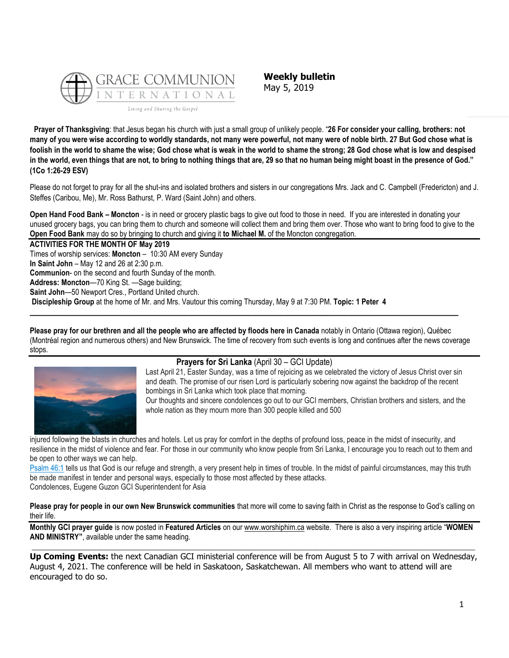

**Weekly bulletin** May 5, 2019

**Prayer of Thanksgiving**: that Jesus began his church with just a small group of unlikely people. "**26 For consider your calling, brothers: not many of you were wise according to worldly standards, not many were powerful, not many were of noble birth. 27 But God chose what is foolish in the world to shame the wise; God chose what is weak in the world to shame the strong; 28 God chose what is low and despised**  in the world, even things that are not, to bring to nothing things that are, 29 so that no human being might boast in the presence of God." **(1Co 1:26-29 ESV)**

Please do not forget to pray for all the shut-ins and isolated brothers and sisters in our congregations Mrs. Jack and C. Campbell (Fredericton) and J. Steffes (Caribou, Me), Mr. Ross Bathurst, P. Ward (Saint John) and others.

**Open Hand Food Bank – Moncton** - is in need or grocery plastic bags to give out food to those in need. If you are interested in donating your unused grocery bags, you can bring them to church and someone will collect them and bring them over. Those who want to bring food to give to the **Open Food Bank** may do so by bringing to church and giving it **to Michael M.** of the Moncton congregation.

**ACTIVITIES FOR THE MONTH OF May 2019**

Times of worship services: **Moncton** – 10:30 AM every Sunday

**In Saint John** – May 12 and 26 at 2:30 p.m.

**Communion**- on the second and fourth Sunday of the month.

**Address: Moncton**—70 King St. —Sage building;

**Saint John**—50 Newport Cres., Portland United church.

**Discipleship Group** at the home of Mr. and Mrs. Vautour this coming Thursday, May 9 at 7:30 PM. **Topic: 1 Peter 4**

**Please pray for our brethren and all the people who are affected by floods here in Canada** notably in Ontario (Ottawa region), Québec (Montréal region and numerous others) and New Brunswick. The time of recovery from such events is long and continues after the news coverage stops.

**\_\_\_\_\_\_\_\_\_\_\_\_\_\_\_\_\_\_\_\_\_\_\_\_\_\_\_\_\_\_\_\_\_\_\_\_\_\_\_\_\_\_\_\_\_\_\_\_\_\_\_\_\_\_\_\_\_\_\_\_\_\_\_\_\_\_\_\_\_\_\_\_\_\_\_\_\_\_\_\_\_**



# **Prayers for Sri Lanka** (April 30 – GCI Update)

Last April 21, Easter Sunday, was a time of rejoicing as we celebrated the victory of Jesus Christ over sin and death. The promise of our risen Lord is particularly sobering now against the backdrop of the recent bombings in Sri Lanka which took place that morning.

Our thoughts and sincere condolences go out to our GCI members, Christian brothers and sisters, and the whole nation as they mourn more than 300 people killed and 500

injured following the blasts in churches and hotels. Let us pray for comfort in the depths of profound loss, peace in the midst of insecurity, and resilience in the midst of violence and fear. For those in our community who know people from Sri Lanka, I encourage you to reach out to them and be open to other ways we can help.

[Psalm 46:1](https://biblia.com/bible/niv/Ps%2046.1) tells us that God is our refuge and strength, a very present help in times of trouble. In the midst of painful circumstances, may this truth be made manifest in tender and personal ways, especially to those most affected by these attacks. Condolences, Eugene Guzon GCI Superintendent for Asia

**Please pray for people in our own New Brunswick communities** that more will come to saving faith in Christ as the response to God's calling on their life.

**Monthly GCI prayer guide** is now posted in **Featured Articles** on our [www.worshiphim.ca](http://www.worshiphim.ca/) website. There is also a very inspiring article "**WOMEN AND MINISTRY"**, available under the same heading.  $\Box$ 

**Up Coming Events:** the next Canadian GCI ministerial conference will be from August 5 to 7 with arrival on Wednesday, August 4, 2021. The conference will be held in Saskatoon, Saskatchewan. All members who want to attend will are encouraged to do so.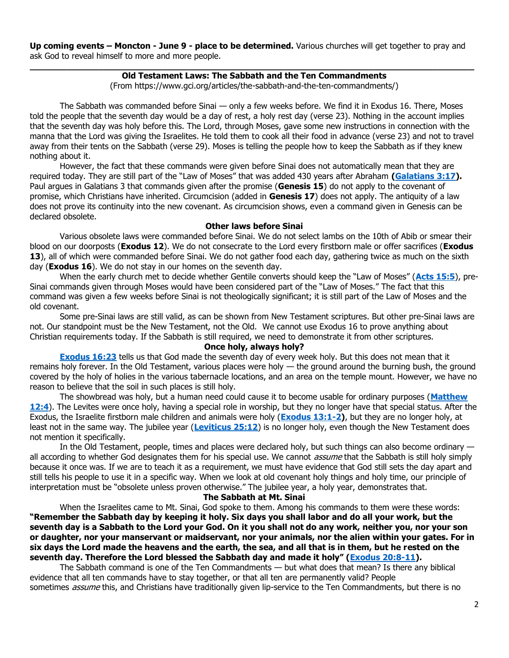**Up coming events – Moncton - June 9 - place to be determined.** Various churches will get together to pray and ask God to reveal himself to more and more people.

# **\_\_\_\_\_\_\_\_\_\_\_\_\_\_\_\_\_\_\_\_\_\_\_\_\_\_\_\_\_\_\_\_\_\_\_\_\_\_\_\_\_\_\_\_\_\_\_\_\_\_\_\_\_\_\_\_\_\_\_\_\_\_\_\_\_\_\_\_\_\_\_\_\_\_\_\_\_\_\_\_\_\_\_\_ Old Testament Laws: The Sabbath and the Ten Commandments**

(From https://www.gci.org/articles/the-sabbath-and-the-ten-commandments/)

The Sabbath was commanded before Sinai — only a few weeks before. We find it in Exodus 16. There, Moses told the people that the seventh day would be a day of rest, a holy rest day (verse 23). Nothing in the account implies that the seventh day was holy before this. The Lord, through Moses, gave some new instructions in connection with the manna that the Lord was giving the Israelites. He told them to cook all their food in advance (verse 23) and not to travel away from their tents on the Sabbath (verse 29). Moses is telling the people how to keep the Sabbath as if they knew nothing about it.

However, the fact that these commands were given before Sinai does not automatically mean that they are required today. They are still part of the "Law of Moses" that was added 430 years after Abraham **[\(Galatians 3:17\)](https://biblia.com/bible/niv/Gal%203.17).** Paul argues in Galatians 3 that commands given after the promise (**Genesis 15**) do not apply to the covenant of promise, which Christians have inherited. Circumcision (added in **Genesis 17**) does not apply. The antiquity of a law does not prove its continuity into the new covenant. As circumcision shows, even a command given in Genesis can be declared obsolete.

# **Other laws before Sinai**

Various obsolete laws were commanded before Sinai. We do not select lambs on the 10th of Abib or smear their blood on our doorposts (**Exodus 12**). We do not consecrate to the Lord every firstborn male or offer sacrifices (**Exodus 13**), all of which were commanded before Sinai. We do not gather food each day, gathering twice as much on the sixth day (**Exodus 16**). We do not stay in our homes on the seventh day.

When the early church met to decide whether Gentile converts should keep the "Law of Moses" (**[Acts 15:5](https://biblia.com/bible/niv/Acts%2015.5)**), pre-Sinai commands given through Moses would have been considered part of the "Law of Moses." The fact that this command was given a few weeks before Sinai is not theologically significant; it is still part of the Law of Moses and the old covenant.

Some pre-Sinai laws are still valid, as can be shown from New Testament scriptures. But other pre-Sinai laws are not. Our standpoint must be the New Testament, not the Old. We cannot use Exodus 16 to prove anything about Christian requirements today. If the Sabbath is still required, we need to demonstrate it from other scriptures.

# **Once holy, always holy?**

**[Exodus 16:23](https://biblia.com/bible/niv/Exod%2016.23)** tells us that God made the seventh day of every week holy. But this does not mean that it remains holy forever. In the Old Testament, various places were holy — the ground around the burning bush, the ground covered by the holy of holies in the various tabernacle locations, and an area on the temple mount. However, we have no reason to believe that the soil in such places is still holy.

The showbread was holy, but a human need could cause it to become usable for ordinary purposes (**[Matthew](https://biblia.com/bible/niv/Matt%2012.4)  [12:4](https://biblia.com/bible/niv/Matt%2012.4)**). The Levites were once holy, having a special role in worship, but they no longer have that special status. After the Exodus, the Israelite firstborn male children and animals were holy (**[Exodus 13:1-2\)](https://biblia.com/bible/niv/Exod%2013.1-2)**, but they are no longer holy, at least not in the same way. The jubilee year (**[Leviticus 25:12](https://biblia.com/bible/niv/Lev%2025.12)**) is no longer holy, even though the New Testament does not mention it specifically.

In the Old Testament, people, times and places were declared holy, but such things can also become ordinary all according to whether God designates them for his special use. We cannot *assume* that the Sabbath is still holy simply because it once was. If we are to teach it as a requirement, we must have evidence that God still sets the day apart and still tells his people to use it in a specific way. When we look at old covenant holy things and holy time, our principle of interpretation must be "obsolete unless proven otherwise." The jubilee year, a holy year, demonstrates that.

# **The Sabbath at Mt. Sinai**

When the Israelites came to Mt. Sinai, God spoke to them. Among his commands to them were these words: **"Remember the Sabbath day by keeping it holy. Six days you shall labor and do all your work, but the seventh day is a Sabbath to the Lord your God. On it you shall not do any work, neither you, nor your son or daughter, nor your manservant or maidservant, nor your animals, nor the alien within your gates. For in six days the Lord made the heavens and the earth, the sea, and all that is in them, but he rested on the seventh day. Therefore the Lord blessed the Sabbath day and made it holy" ([Exodus 20:8-11\)](https://biblia.com/bible/niv/Exod%2020.8-11).**

The Sabbath command is one of the Ten Commandments — but what does that mean? Is there any biblical evidence that all ten commands have to stay together, or that all ten are permanently valid? People sometimes *assume* this, and Christians have traditionally given lip-service to the Ten Commandments, but there is no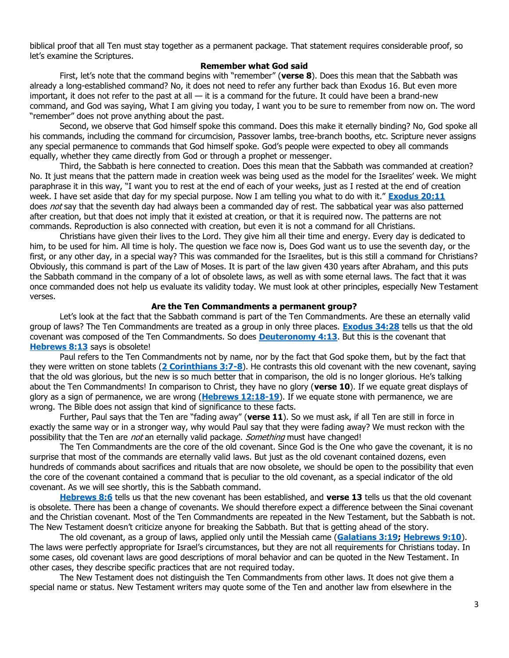biblical proof that all Ten must stay together as a permanent package. That statement requires considerable proof, so let's examine the Scriptures.

### **Remember what God said**

First, let's note that the command begins with "remember" (**verse 8**). Does this mean that the Sabbath was already a long-established command? No, it does not need to refer any further back than Exodus 16. But even more important, it does not refer to the past at all  $-$  it is a command for the future. It could have been a brand-new command, and God was saying, What I am giving you today, I want you to be sure to remember from now on. The word "remember" does not prove anything about the past.

Second, we observe that God himself spoke this command. Does this make it eternally binding? No, God spoke all his commands, including the command for circumcision, Passover lambs, tree-branch booths, etc. Scripture never assigns any special permanence to commands that God himself spoke. God's people were expected to obey all commands equally, whether they came directly from God or through a prophet or messenger.

Third, the Sabbath is here connected to creation. Does this mean that the Sabbath was commanded at creation? No. It just means that the pattern made in creation week was being used as the model for the Israelites' week. We might paraphrase it in this way, "I want you to rest at the end of each of your weeks, just as I rested at the end of creation week. I have set aside that day for my special purpose. Now I am telling you what to do with it." **[Exodus 20:11](https://biblia.com/bible/niv/Exod%2020.11)** does not say that the seventh day had always been a commanded day of rest. The sabbatical year was also patterned after creation, but that does not imply that it existed at creation, or that it is required now. The patterns are not commands. Reproduction is also connected with creation, but even it is not a command for all Christians.

Christians have given their lives to the Lord. They give him all their time and energy. Every day is dedicated to him, to be used for him. All time is holy. The question we face now is, Does God want us to use the seventh day, or the first, or any other day, in a special way? This was commanded for the Israelites, but is this still a command for Christians? Obviously, this command is part of the Law of Moses. It is part of the law given 430 years after Abraham, and this puts the Sabbath command in the company of a lot of obsolete laws, as well as with some eternal laws. The fact that it was once commanded does not help us evaluate its validity today. We must look at other principles, especially New Testament verses.

#### **Are the Ten Commandments a permanent group?**

Let's look at the fact that the Sabbath command is part of the Ten Commandments. Are these an eternally valid group of laws? The Ten Commandments are treated as a group in only three places. **[Exodus 34:28](https://biblia.com/bible/niv/Exod%2034.28)** tells us that the old covenant was composed of the Ten Commandments. So does **[Deuteronomy 4:13](https://biblia.com/bible/niv/Deut%204.13)**. But this is the covenant that **[Hebrews 8:13](https://biblia.com/bible/niv/Heb%208.13)** says is obsolete!

Paul refers to the Ten Commandments not by name, nor by the fact that God spoke them, but by the fact that they were written on stone tablets (**[2 Corinthians 3:7-8](https://biblia.com/bible/niv/2%20Cor%203.7-8)**). He contrasts this old covenant with the new covenant, saying that the old was glorious, but the new is so much better that in comparison, the old is no longer glorious. He's talking about the Ten Commandments! In comparison to Christ, they have no glory (**verse 10**). If we equate great displays of glory as a sign of permanence, we are wrong (**[Hebrews 12:18-19](https://biblia.com/bible/niv/Heb%2012.18-19)**). If we equate stone with permanence, we are wrong. The Bible does not assign that kind of significance to these facts.

Further, Paul says that the Ten are "fading away" (**verse 11**). So we must ask, if all Ten are still in force in exactly the same way or in a stronger way, why would Paul say that they were fading away? We must reckon with the possibility that the Ten are *not* an eternally valid package. *Something* must have changed!

The Ten Commandments are the core of the old covenant. Since God is the One who gave the covenant, it is no surprise that most of the commands are eternally valid laws. But just as the old covenant contained dozens, even hundreds of commands about sacrifices and rituals that are now obsolete, we should be open to the possibility that even the core of the covenant contained a command that is peculiar to the old covenant, as a special indicator of the old covenant. As we will see shortly, this is the Sabbath command.

**[Hebrews 8:6](https://biblia.com/bible/niv/Heb%208.6)** tells us that the new covenant has been established, and **verse 13** tells us that the old covenant is obsolete. There has been a change of covenants. We should therefore expect a difference between the Sinai covenant and the Christian covenant. Most of the Ten Commandments are repeated in the New Testament, but the Sabbath is not. The New Testament doesn't criticize anyone for breaking the Sabbath. But that is getting ahead of the story.

The old covenant, as a group of laws, applied only until the Messiah came (**[Galatians 3:19;](https://biblia.com/bible/niv/Gal%203.19) [Hebrews 9:10](https://biblia.com/bible/niv/Heb%209.10)**). The laws were perfectly appropriate for Israel's circumstances, but they are not all requirements for Christians today. In some cases, old covenant laws are good descriptions of moral behavior and can be quoted in the New Testament. In other cases, they describe specific practices that are not required today.

The New Testament does not distinguish the Ten Commandments from other laws. It does not give them a special name or status. New Testament writers may quote some of the Ten and another law from elsewhere in the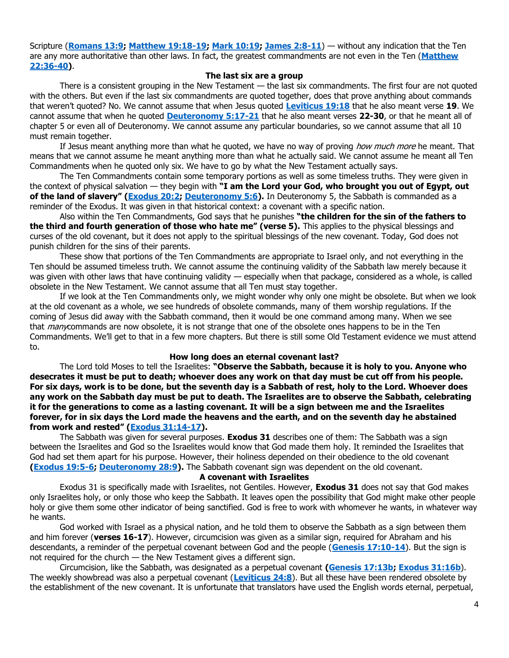Scripture (**[Romans 13:9;](https://biblia.com/bible/niv/Rom%2013.9) [Matthew 19:18-19;](https://biblia.com/bible/niv/Matt%2019.18-19) [Mark 10:19;](https://biblia.com/bible/niv/Mark%2010.19) [James 2:8-11](https://biblia.com/bible/niv/James%202.8-11)**) — without any indication that the Ten are any more authoritative than other laws. In fact, the greatest commandments are not even in the Ten (**[Matthew](https://biblia.com/bible/niv/Matt%2022.36-40)  [22:36-40\)](https://biblia.com/bible/niv/Matt%2022.36-40)**.

#### **The last six are a group**

There is a consistent grouping in the New Testament — the last six commandments. The first four are not quoted with the others. But even if the last six commandments are quoted together, does that prove anything about commands that weren't quoted? No. We cannot assume that when Jesus quoted **[Leviticus 19:18](https://biblia.com/bible/niv/Lev%2019.18)** that he also meant verse **19**. We cannot assume that when he quoted **[Deuteronomy 5:17-21](https://biblia.com/bible/niv/Deut%205.17-21)** that he also meant verses **22-30**, or that he meant all of chapter 5 or even all of Deuteronomy. We cannot assume any particular boundaries, so we cannot assume that all 10 must remain together.

If Jesus meant anything more than what he quoted, we have no way of proving how much more he meant. That means that we cannot assume he meant anything more than what he actually said. We cannot assume he meant all Ten Commandments when he quoted only six. We have to go by what the New Testament actually says.

The Ten Commandments contain some temporary portions as well as some timeless truths. They were given in the context of physical salvation — they begin with **"I am the Lord your God, who brought you out of Egypt, out of the land of slavery" ([Exodus 20:2;](https://biblia.com/bible/niv/Exod%2020.2) [Deuteronomy 5:6\)](https://biblia.com/bible/niv/Deut%205.6).** In Deuteronomy 5, the Sabbath is commanded as a reminder of the Exodus. It was given in that historical context: a covenant with a specific nation.

Also within the Ten Commandments, God says that he punishes **"the children for the sin of the fathers to the third and fourth generation of those who hate me" (verse 5).** This applies to the physical blessings and curses of the old covenant, but it does not apply to the spiritual blessings of the new covenant. Today, God does not punish children for the sins of their parents.

These show that portions of the Ten Commandments are appropriate to Israel only, and not everything in the Ten should be assumed timeless truth. We cannot assume the continuing validity of the Sabbath law merely because it was given with other laws that have continuing validity — especially when that package, considered as a whole, is called obsolete in the New Testament. We cannot assume that all Ten must stay together.

If we look at the Ten Commandments only, we might wonder why only one might be obsolete. But when we look at the old covenant as a whole, we see hundreds of obsolete commands, many of them worship regulations. If the coming of Jesus did away with the Sabbath command, then it would be one command among many. When we see that *many*commands are now obsolete, it is not strange that one of the obsolete ones happens to be in the Ten Commandments. We'll get to that in a few more chapters. But there is still some Old Testament evidence we must attend to.

### **How long does an eternal covenant last?**

The Lord told Moses to tell the Israelites: **"Observe the Sabbath, because it is holy to you. Anyone who desecrates it must be put to death; whoever does any work on that day must be cut off from his people. For six days, work is to be done, but the seventh day is a Sabbath of rest, holy to the Lord. Whoever does any work on the Sabbath day must be put to death. The Israelites are to observe the Sabbath, celebrating it for the generations to come as a lasting covenant. It will be a sign between me and the Israelites forever, for in six days the Lord made the heavens and the earth, and on the seventh day he abstained from work and rested" ([Exodus 31:14-17\)](https://biblia.com/bible/niv/Exod%2031.14-17).**

The Sabbath was given for several purposes. **Exodus 31** describes one of them: The Sabbath was a sign between the Israelites and God so the Israelites would know that God made them holy. It reminded the Israelites that God had set them apart for his purpose. However, their holiness depended on their obedience to the old covenant **[\(Exodus 19:5-6;](https://biblia.com/bible/niv/Exod%2019.5-6) [Deuteronomy 28:9\)](https://biblia.com/bible/niv/Deut%2028.9).** The Sabbath covenant sign was dependent on the old covenant.

#### **A covenant with Israelites**

Exodus 31 is specifically made with Israelites, not Gentiles. However, **Exodus 31** does not say that God makes only Israelites holy, or only those who keep the Sabbath. It leaves open the possibility that God might make other people holy or give them some other indicator of being sanctified. God is free to work with whomever he wants, in whatever way he wants.

God worked with Israel as a physical nation, and he told them to observe the Sabbath as a sign between them and him forever (**verses 16-17**). However, circumcision was given as a similar sign, required for Abraham and his descendants, a reminder of the perpetual covenant between God and the people (**[Genesis 17:10-14](https://biblia.com/bible/niv/Gen%2017.10-14)**). But the sign is not required for the church — the New Testament gives a different sign.

Circumcision, like the Sabbath, was designated as a perpetual covenant **[\(Genesis 17:13b;](https://biblia.com/bible/niv/Gen%2017.13b) [Exodus 31:16b](https://biblia.com/bible/niv/Exod%2031.16b)**). The weekly showbread was also a perpetual covenant (**[Leviticus 24:8](https://biblia.com/bible/niv/Lev%2024.8)**). But all these have been rendered obsolete by the establishment of the new covenant. It is unfortunate that translators have used the English words eternal, perpetual,